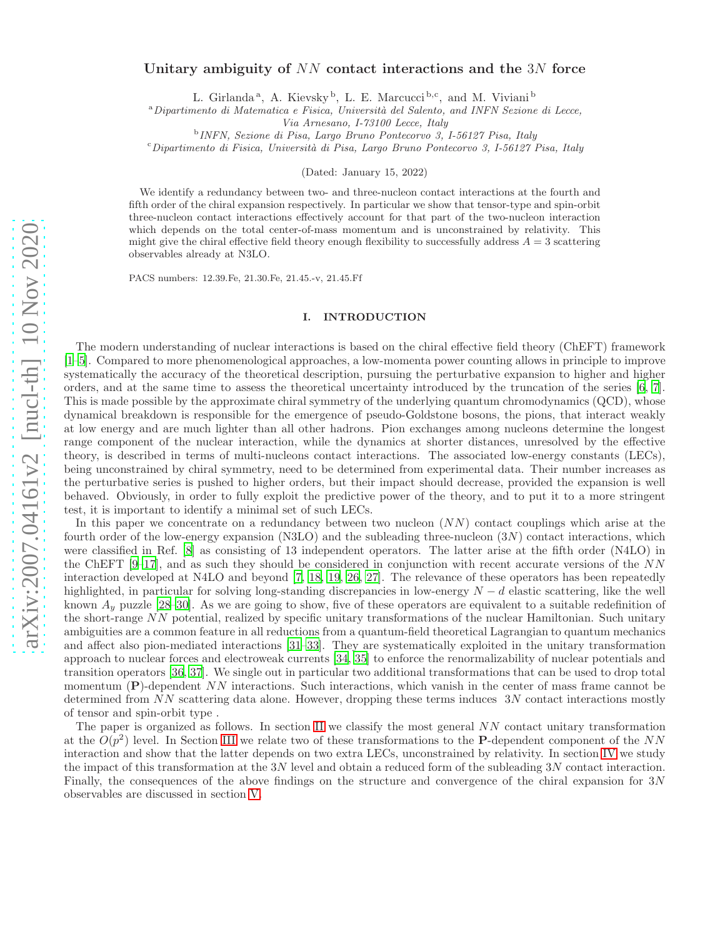# arXiv:2007.04161v2 [nucl-th] 10 Nov 2020 [arXiv:2007.04161v2 \[nucl-th\] 10 Nov 2020](http://arxiv.org/abs/2007.04161v2)

# Unitary ambiguity of NN contact interactions and the 3N force

L. Girlanda<sup>a</sup>, A. Kievsky<sup>b</sup>, L. E. Marcucci<sup>b,c</sup>, and M. Viviani<sup>b</sup>

 $a<sup>a</sup> Dipartimento di Matematica e Fisica, Università del Salento, and INFN Sezione di Lecce,$ 

Via Arnesano, I-73100 Lecce, Italy

b INFN, Sezione di Pisa, Largo Bruno Pontecorvo 3, I-56127 Pisa, Italy

 $c$ Dipartimento di Fisica, Università di Pisa, Largo Bruno Pontecorvo 3, I-56127 Pisa, Italy

(Dated: January 15, 2022)

We identify a redundancy between two- and three-nucleon contact interactions at the fourth and fifth order of the chiral expansion respectively. In particular we show that tensor-type and spin-orbit three-nucleon contact interactions effectively account for that part of the two-nucleon interaction which depends on the total center-of-mass momentum and is unconstrained by relativity. This might give the chiral effective field theory enough flexibility to successfully address  $A = 3$  scattering observables already at N3LO.

PACS numbers: 12.39.Fe, 21.30.Fe, 21.45.-v, 21.45.Ff

### I. INTRODUCTION

The modern understanding of nuclear interactions is based on the chiral effective field theory (ChEFT) framework [\[1](#page-7-0)[–5\]](#page-7-1). Compared to more phenomenological approaches, a low-momenta power counting allows in principle to improve systematically the accuracy of the theoretical description, pursuing the perturbative expansion to higher and higher orders, and at the same time to assess the theoretical uncertainty introduced by the truncation of the series [\[6,](#page-7-2) [7\]](#page-7-3). This is made possible by the approximate chiral symmetry of the underlying quantum chromodynamics (QCD), whose dynamical breakdown is responsible for the emergence of pseudo-Goldstone bosons, the pions, that interact weakly at low energy and are much lighter than all other hadrons. Pion exchanges among nucleons determine the longest range component of the nuclear interaction, while the dynamics at shorter distances, unresolved by the effective theory, is described in terms of multi-nucleons contact interactions. The associated low-energy constants (LECs), being unconstrained by chiral symmetry, need to be determined from experimental data. Their number increases as the perturbative series is pushed to higher orders, but their impact should decrease, provided the expansion is well behaved. Obviously, in order to fully exploit the predictive power of the theory, and to put it to a more stringent test, it is important to identify a minimal set of such LECs.

In this paper we concentrate on a redundancy between two nucleon  $(NN)$  contact couplings which arise at the fourth order of the low-energy expansion (N3LO) and the subleading three-nucleon  $(3N)$  contact interactions, which were classified in Ref. [\[8\]](#page-7-4) as consisting of 13 independent operators. The latter arise at the fifth order (N4LO) in the ChEFT  $[9-17]$ , and as such they should be considered in conjunction with recent accurate versions of the NN interaction developed at N4LO and beyond [\[7,](#page-7-3) [18](#page-8-2), [19](#page-8-3), [26](#page-8-4), [27\]](#page-8-5). The relevance of these operators has been repeatedly highlighted, in particular for solving long-standing discrepancies in low-energy  $N - d$  elastic scattering, like the well known  $A_y$  puzzle [\[28](#page-8-6)[–30](#page-8-7)]. As we are going to show, five of these operators are equivalent to a suitable redefinition of the short-range NN potential, realized by specific unitary transformations of the nuclear Hamiltonian. Such unitary ambiguities are a common feature in all reductions from a quantum-field theoretical Lagrangian to quantum mechanics and affect also pion-mediated interactions [\[31](#page-8-8)[–33\]](#page-8-9). They are systematically exploited in the unitary transformation approach to nuclear forces and electroweak currents [\[34,](#page-8-10) [35\]](#page-8-11) to enforce the renormalizability of nuclear potentials and transition operators [\[36](#page-8-12), [37\]](#page-8-13). We single out in particular two additional transformations that can be used to drop total momentum (P)-dependent NN interactions. Such interactions, which vanish in the center of mass frame cannot be determined from NN scattering data alone. However, dropping these terms induces 3N contact interactions mostly of tensor and spin-orbit type .

The paper is organized as follows. In section [II](#page-1-0) we classify the most general NN contact unitary transformation at the  $O(p^2)$  level. In Section [III](#page-2-0) we relate two of these transformations to the P-dependent component of the NN interaction and show that the latter depends on two extra LECs, unconstrained by relativity. In section [IV](#page-4-0) we study the impact of this transformation at the 3N level and obtain a reduced form of the subleading 3N contact interaction. Finally, the consequences of the above findings on the structure and convergence of the chiral expansion for 3N observables are discussed in section [V.](#page-7-5)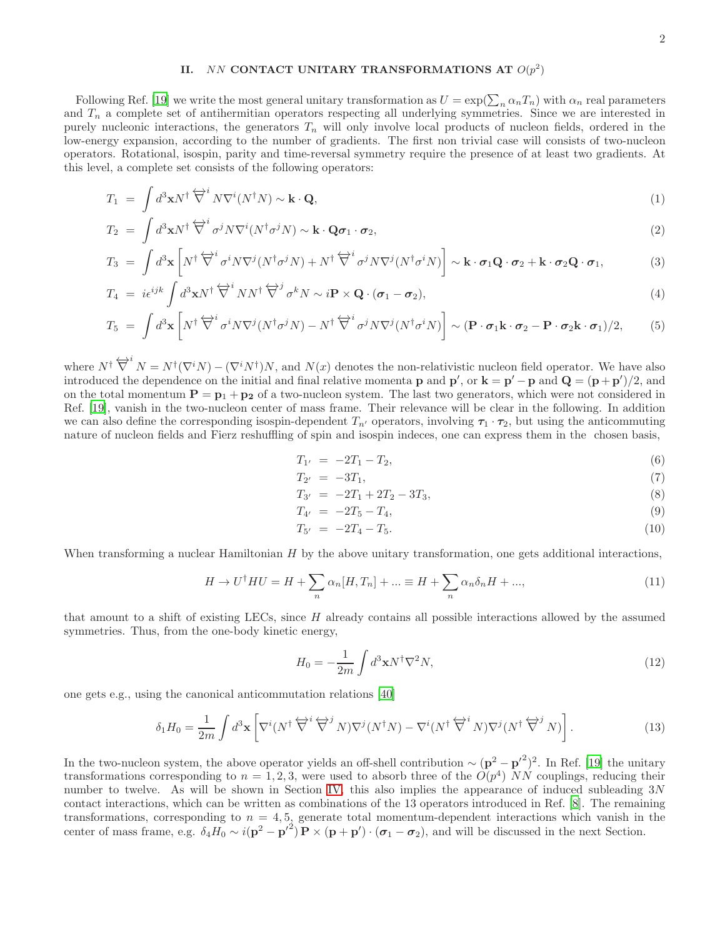# <span id="page-1-0"></span>II. NN CONTACT UNITARY TRANSFORMATIONS AT  $O(p^2)$

Following Ref. [\[19\]](#page-8-3) we write the most general unitary transformation as  $U = \exp(\sum_n \alpha_n T_n)$  with  $\alpha_n$  real parameters and  $T_n$  a complete set of antihermitian operators respecting all underlying symmetries. Since we are interested in purely nucleonic interactions, the generators  $T_n$  will only involve local products of nucleon fields, ordered in the low-energy expansion, according to the number of gradients. The first non trivial case will consists of two-nucleon operators. Rotational, isospin, parity and time-reversal symmetry require the presence of at least two gradients. At this level, a complete set consists of the following operators:

$$
T_1 = \int d^3 \mathbf{x} N^\dagger \overleftrightarrow{\nabla}^i N \nabla^i (N^\dagger N) \sim \mathbf{k} \cdot \mathbf{Q},\tag{1}
$$

$$
T_2 = \int d^3 \mathbf{x} N^\dagger \overleftrightarrow{\nabla}^i \sigma^j N \nabla^i (N^\dagger \sigma^j N) \sim \mathbf{k} \cdot \mathbf{Q} \sigma_1 \cdot \sigma_2, \tag{2}
$$

$$
T_3 = \int d^3 \mathbf{x} \left[ N^{\dagger} \overleftrightarrow{\nabla}^i \sigma^i N \nabla^j (N^{\dagger} \sigma^j N) + N^{\dagger} \overleftrightarrow{\nabla}^i \sigma^j N \nabla^j (N^{\dagger} \sigma^i N) \right] \sim \mathbf{k} \cdot \boldsymbol{\sigma}_1 \mathbf{Q} \cdot \boldsymbol{\sigma}_2 + \mathbf{k} \cdot \boldsymbol{\sigma}_2 \mathbf{Q} \cdot \boldsymbol{\sigma}_1, \tag{3}
$$

$$
T_4 = i\epsilon^{ijk} \int d^3 \mathbf{x} N^\dagger \overleftrightarrow{\nabla}^i N N^\dagger \overleftrightarrow{\nabla}^j \sigma^k N \sim i\mathbf{P} \times \mathbf{Q} \cdot (\boldsymbol{\sigma}_1 - \boldsymbol{\sigma}_2), \tag{4}
$$

$$
T_5 = \int d^3 \mathbf{x} \left[ N^{\dagger} \overleftrightarrow{\nabla}^i \sigma^i N \nabla^j (N^{\dagger} \sigma^j N) - N^{\dagger} \overleftrightarrow{\nabla}^i \sigma^j N \nabla^j (N^{\dagger} \sigma^i N) \right] \sim (\mathbf{P} \cdot \boldsymbol{\sigma}_1 \mathbf{k} \cdot \boldsymbol{\sigma}_2 - \mathbf{P} \cdot \boldsymbol{\sigma}_2 \mathbf{k} \cdot \boldsymbol{\sigma}_1)/2, \tag{5}
$$

where  $N^{\dagger} \overleftrightarrow{\nabla}^i N = N^{\dagger} (\nabla^i N) - (\nabla^i N^{\dagger}) N$ , and  $N(x)$  denotes the non-relativistic nucleon field operator. We have also introduced the dependence on the initial and final relative momenta **p** and **p'**, or  $\mathbf{k} = \mathbf{p}' - \mathbf{p}$  and  $\mathbf{Q} = (\mathbf{p} + \mathbf{p}')/2$ , and on the total momentum  $P = p_1 + p_2$  of a two-nucleon system. The last two generators, which were not considered in Ref. [\[19\]](#page-8-3), vanish in the two-nucleon center of mass frame. Their relevance will be clear in the following. In addition we can also define the corresponding isospin-dependent  $T_{n'}$  operators, involving  $\tau_1 \cdot \tau_2$ , but using the anticommuting nature of nucleon fields and Fierz reshuffling of spin and isospin indeces, one can express them in the chosen basis,

$$
T_{1'} = -2T_1 - T_2, \t\t(6)
$$

$$
T_{2'} = -3T_1, \t\t(7)
$$

$$
T_{3'} = -2T_1 + 2T_2 - 3T_3,\tag{8}
$$

$$
T_{4'} = -2T_5 - T_4,\tag{9}
$$

$$
T_{5'} = -2T_4 - T_5. \tag{10}
$$

When transforming a nuclear Hamiltonian H by the above unitary transformation, one gets additional interactions,

<span id="page-1-1"></span>
$$
H \to U^{\dagger} H U = H + \sum_{n} \alpha_n [H, T_n] + \dots \equiv H + \sum_{n} \alpha_n \delta_n H + \dots,
$$
\n(11)

that amount to a shift of existing LECs, since  $H$  already contains all possible interactions allowed by the assumed symmetries. Thus, from the one-body kinetic energy,

<span id="page-1-2"></span>
$$
H_0 = -\frac{1}{2m} \int d^3 \mathbf{x} N^\dagger \nabla^2 N,\tag{12}
$$

one gets e.g., using the canonical anticommutation relations [\[40\]](#page-8-14)

$$
\delta_1 H_0 = \frac{1}{2m} \int d^3 \mathbf{x} \left[ \nabla^i (N^\dagger \overleftrightarrow{\nabla}^i \overleftrightarrow{\nabla}^j N) \nabla^j (N^\dagger N) - \nabla^i (N^\dagger \overleftrightarrow{\nabla}^i N) \nabla^j (N^\dagger \overleftrightarrow{\nabla}^j N) \right]. \tag{13}
$$

In the two-nucleon system, the above operator yields an off-shell contribution  $\sim (\mathbf{p}^2 - \mathbf{p'}^2)^2$ . In Ref. [\[19](#page-8-3)] the unitary transformations corresponding to  $n = 1, 2, 3$ , were used to absorb three of the  $O(p^4)$  NN couplings, reducing their number to twelve. As will be shown in Section [IV,](#page-4-0) this also implies the appearance of induced subleading 3N contact interactions, which can be written as combinations of the 13 operators introduced in Ref. [\[8\]](#page-7-4). The remaining transformations, corresponding to  $n = 4, 5$ , generate total momentum-dependent interactions which vanish in the center of mass frame, e.g.  $\delta_4 H_0 \sim i(\mathbf{p}^2 - {\mathbf{p}'}^2) \mathbf{P} \times (\mathbf{p} + \mathbf{p}') \cdot (\boldsymbol{\sigma}_1 - \boldsymbol{\sigma}_2)$ , and will be discussed in the next Section.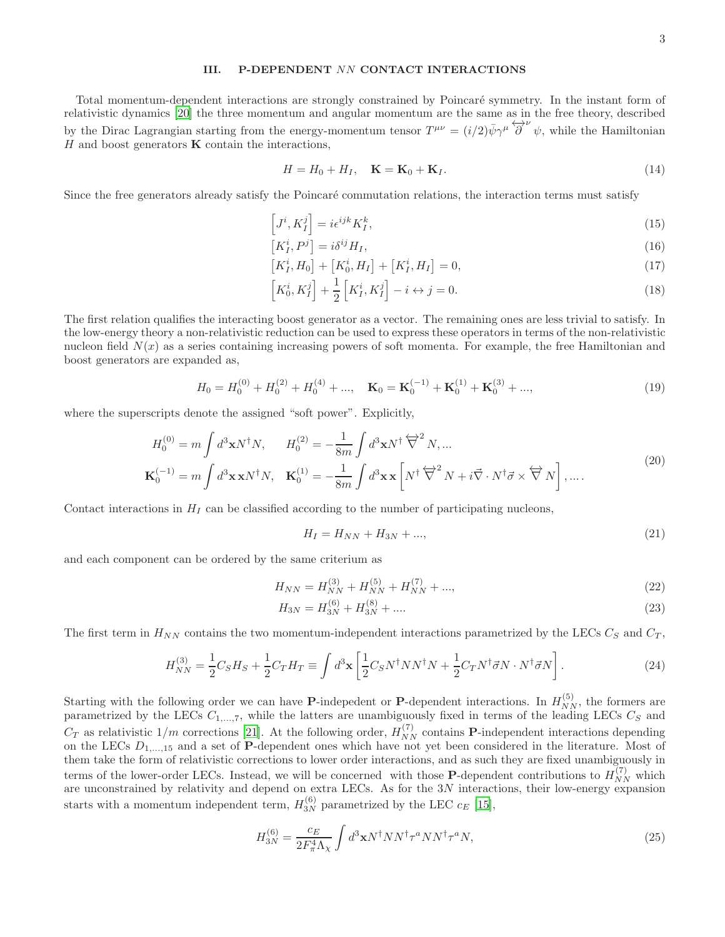# <span id="page-2-0"></span>III. P-DEPENDENT NN CONTACT INTERACTIONS

Total momentum-dependent interactions are strongly constrained by Poincaré symmetry. In the instant form of relativistic dynamics [\[20\]](#page-8-15) the three momentum and angular momentum are the same as in the free theory, described by the Dirac Lagrangian starting from the energy-momentum tensor  $T^{\mu\nu} = (i/2)\bar{\psi}\gamma^{\mu}\overleftrightarrow{\partial}^{\nu}\psi$ , while the Hamiltonian  $H$  and boost generators  $\bf{K}$  contain the interactions,

<span id="page-2-2"></span><span id="page-2-1"></span>
$$
H = H_0 + H_I, \quad \mathbf{K} = \mathbf{K}_0 + \mathbf{K}_I. \tag{14}
$$

Since the free generators already satisfy the Poincaré commutation relations, the interaction terms must satisfy

$$
\left[J^i, K_I^j\right] = i\epsilon^{ijk} K_I^k,\tag{15}
$$

$$
\left[K_I^i, P^j\right] = i\delta^{ij}H_I,\tag{16}
$$

$$
[K_I^i, H_0] + [K_0^i, H_I] + [K_I^i, H_I] = 0,\t\t(17)
$$

<span id="page-2-3"></span>
$$
\[K_0^i, K_I^j\] + \frac{1}{2} \left[ K_I^i, K_I^j \right] - i \leftrightarrow j = 0. \tag{18}
$$

The first relation qualifies the interacting boost generator as a vector. The remaining ones are less trivial to satisfy. In the low-energy theory a non-relativistic reduction can be used to express these operators in terms of the non-relativistic nucleon field  $N(x)$  as a series containing increasing powers of soft momenta. For example, the free Hamiltonian and boost generators are expanded as,

$$
H_0 = H_0^{(0)} + H_0^{(2)} + H_0^{(4)} + \dots, \quad \mathbf{K}_0 = \mathbf{K}_0^{(-1)} + \mathbf{K}_0^{(1)} + \mathbf{K}_0^{(3)} + \dots,
$$
\n(19)

where the superscripts denote the assigned "soft power". Explicitly,

$$
H_0^{(0)} = m \int d^3 \mathbf{x} N^{\dagger} N, \qquad H_0^{(2)} = -\frac{1}{8m} \int d^3 \mathbf{x} N^{\dagger} \overleftrightarrow{\nabla}^2 N, \dots
$$
  

$$
\mathbf{K}_0^{(-1)} = m \int d^3 \mathbf{x} \mathbf{x} N^{\dagger} N, \quad \mathbf{K}_0^{(1)} = -\frac{1}{8m} \int d^3 \mathbf{x} \mathbf{x} \left[ N^{\dagger} \overleftrightarrow{\nabla}^2 N + i \overrightarrow{\nabla} \cdot N^{\dagger} \overrightarrow{\sigma} \times \overleftrightarrow{\nabla} N \right], \dots.
$$
 (20)

Contact interactions in  $H_I$  can be classified according to the number of participating nucleons,

$$
H_I = H_{NN} + H_{3N} + ..., \t\t(21)
$$

and each component can be ordered by the same criterium as

$$
H_{NN} = H_{NN}^{(3)} + H_{NN}^{(5)} + H_{NN}^{(7)} + \dots,
$$
\n(22)

$$
H_{3N} = H_{3N}^{(6)} + H_{3N}^{(8)} + \dots \tag{23}
$$

The first term in  $H_{NN}$  contains the two momentum-independent interactions parametrized by the LECs  $C_S$  and  $C_T$ ,

<span id="page-2-4"></span>
$$
H_{NN}^{(3)} = \frac{1}{2}C_S H_S + \frac{1}{2}C_T H_T \equiv \int d^3 \mathbf{x} \left[ \frac{1}{2} C_S N^\dagger N N^\dagger N + \frac{1}{2} C_T N^\dagger \vec{\sigma} N \cdot N^\dagger \vec{\sigma} N \right].
$$
 (24)

Starting with the following order we can have **P**-indepedent or **P**-dependent interactions. In  $H_{NN}^{(5)}$ , the formers are parametrized by the LECs  $C_{1,\dots,7}$ , while the latters are unambiguously fixed in terms of the leading LECs  $C_S$  and  $C_T$  as relativistic  $1/m$  corrections [\[21\]](#page-8-16). At the following order,  $H_{NN}^{(7)}$  contains **P**-independent interactions depending on the LECs  $D_{1,...,15}$  and a set of P-dependent ones which have not yet been considered in the literature. Most of them take the form of relativistic corrections to lower order interactions, and as such they are fixed unambiguously in terms of the lower-order LECs. Instead, we will be concerned with those **P**-dependent contributions to  $H_{NN}^{(7)}$  which are unconstrained by relativity and depend on extra LECs. As for the 3N interactions, their low-energy expansion starts with a momentum independent term,  $H_{3N}^{(6)}$  parametrized by the LEC  $c_E$  [\[15](#page-8-17)],

<span id="page-2-5"></span>
$$
H_{3N}^{(6)} = \frac{c_E}{2F_{\pi}^4 \Lambda_{\chi}} \int d^3 \mathbf{x} N^{\dagger} N N^{\dagger} \tau^a N N^{\dagger} \tau^a N, \tag{25}
$$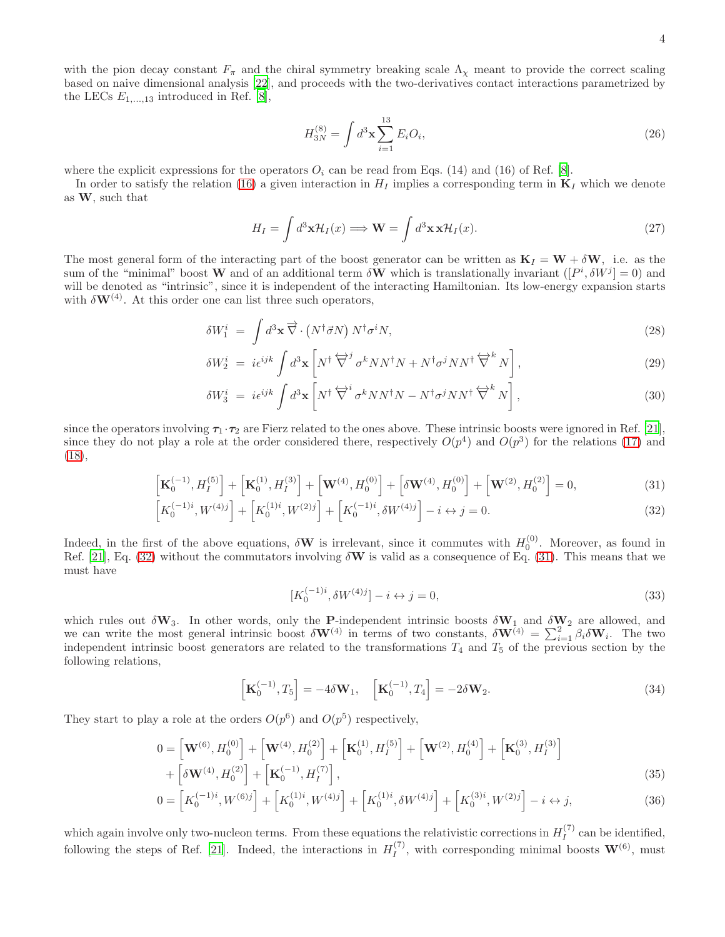4

with the pion decay constant  $F_{\pi}$  and the chiral symmetry breaking scale  $\Lambda_{\chi}$  meant to provide the correct scaling based on naive dimensional analysis [\[22\]](#page-8-18), and proceeds with the two-derivatives contact interactions parametrized by the LECs  $E_{1,\dots,13}$  introduced in Ref. [\[8\]](#page-7-4),

<span id="page-3-5"></span>
$$
H_{3N}^{(8)} = \int d^3 \mathbf{x} \sum_{i=1}^{13} E_i O_i,
$$
 (26)

where the explicit expressions for the operators  $O_i$  can be read from Eqs. (14) and (16) of Ref. [\[8\]](#page-7-4).

In order to satisfy the relation [\(16\)](#page-2-1) a given interaction in  $H_I$  implies a corresponding term in  $\mathbf{K}_I$  which we denote as W, such that

$$
H_I = \int d^3 \mathbf{x} \mathcal{H}_I(x) \Longrightarrow \mathbf{W} = \int d^3 \mathbf{x} \mathbf{x} \mathcal{H}_I(x).
$$
 (27)

The most general form of the interacting part of the boost generator can be written as  $\mathbf{K}_I = \mathbf{W} + \delta \mathbf{W}$ , i.e. as the sum of the "minimal" boost **W** and of an additional term  $\delta \mathbf{W}$  which is translationally invariant  $([P^i, \delta W^j] = 0)$  and will be denoted as "intrinsic", since it is independent of the interacting Hamiltonian. Its low-energy expansion starts with  $\delta W^{(4)}$ . At this order one can list three such operators,

$$
\delta W_1^i = \int d^3 \mathbf{x} \, \overrightarrow{\nabla} \cdot \left( N^\dagger \vec{\sigma} N \right) N^\dagger \sigma^i N,\tag{28}
$$

$$
\delta W_2^i \ = \ i \epsilon^{ijk} \int d^3 \mathbf{x} \left[ N^\dagger \, \overleftrightarrow{\nabla}^j \, \sigma^k N N^\dagger N + N^\dagger \sigma^j N N^\dagger \, \overleftrightarrow{\nabla}^k N \right],\tag{29}
$$

$$
\delta W_3^i = i\epsilon^{ijk} \int d^3 \mathbf{x} \left[ N^\dagger \overleftrightarrow{\nabla}^i \sigma^k N N^\dagger N - N^\dagger \sigma^j N N^\dagger \overleftrightarrow{\nabla}^k N \right],\tag{30}
$$

since the operators involving  $\tau_1 \cdot \tau_2$  are Fierz related to the ones above. These intrinsic boosts were ignored in Ref. [\[21\]](#page-8-16), since they do not play a role at the order considered there, respectively  $O(p^4)$  and  $O(p^3)$  for the relations [\(17\)](#page-2-2) and [\(18\)](#page-2-3),

$$
\left[\mathbf{K}_0^{(-1)}, H_I^{(5)}\right] + \left[\mathbf{K}_0^{(1)}, H_I^{(3)}\right] + \left[\mathbf{W}^{(4)}, H_0^{(0)}\right] + \left[\delta \mathbf{W}^{(4)}, H_0^{(0)}\right] + \left[\mathbf{W}^{(2)}, H_0^{(2)}\right] = 0,\tag{31}
$$

$$
\[K_0^{(-1)i}, W^{(4)j}\] + \[K_0^{(1)i}, W^{(2)j}\] + \[K_0^{(-1)i}, \delta W^{(4)j}\] - i \leftrightarrow j = 0. \tag{32}
$$

Indeed, in the first of the above equations,  $\delta W$  is irrelevant, since it commutes with  $H_0^{(0)}$ . Moreover, as found in Ref. [\[21\]](#page-8-16), Eq. [\(32\)](#page-3-0) without the commutators involving  $\delta W$  is valid as a consequence of Eq. [\(31\)](#page-3-1). This means that we must have

<span id="page-3-3"></span><span id="page-3-2"></span><span id="page-3-1"></span><span id="page-3-0"></span>
$$
[K_0^{(-1)i}, \delta W^{(4)j}] - i \leftrightarrow j = 0,\t\t(33)
$$

which rules out  $\delta W_3$ . In other words, only the P-independent intrinsic boosts  $\delta W_1$  and  $\delta W_2$  are allowed, and we can write the most general intrinsic boost  $\delta \mathbf{W}^{(4)}$  in terms of two constants,  $\delta \mathbf{W}^{(4)} = \sum_{i=1}^{2} \beta_i \delta \mathbf{W}_i$ . The two independent intrinsic boost generators are related to the transformations  $T_4$  and  $T_5$  of the previous section by the following relations,

<span id="page-3-4"></span>
$$
\left[\mathbf{K}_0^{(-1)}, T_5\right] = -4\delta \mathbf{W}_1, \quad \left[\mathbf{K}_0^{(-1)}, T_4\right] = -2\delta \mathbf{W}_2.
$$
\n(34)

They start to play a role at the orders  $O(p^6)$  and  $O(p^5)$  respectively,

$$
0 = \left[\mathbf{W}^{(6)}, H_0^{(0)}\right] + \left[\mathbf{W}^{(4)}, H_0^{(2)}\right] + \left[\mathbf{K}_0^{(1)}, H_I^{(5)}\right] + \left[\mathbf{W}^{(2)}, H_0^{(4)}\right] + \left[\mathbf{K}_0^{(3)}, H_I^{(3)}\right] + \left[\delta\mathbf{W}^{(4)}, H_0^{(2)}\right] + \left[\mathbf{K}_0^{(-1)}, H_I^{(7)}\right],
$$
\n(35)

$$
0 = \left[K_0^{(-1)i}, W^{(6)j}\right] + \left[K_0^{(1)i}, W^{(4)j}\right] + \left[K_0^{(1)i}, \delta W^{(4)j}\right] + \left[K_0^{(3)i}, W^{(2)j}\right] - i \leftrightarrow j,\tag{36}
$$

which again involve only two-nucleon terms. From these equations the relativistic corrections in  $H_I^{(7)}$  $I_I^{(1)}$  can be identified, following the steps of Ref. [\[21](#page-8-16)]. Indeed, the interactions in  $H_I^{(7)}$ , with corresponding minimal boosts  $\mathbf{W}^{(6)}$ , must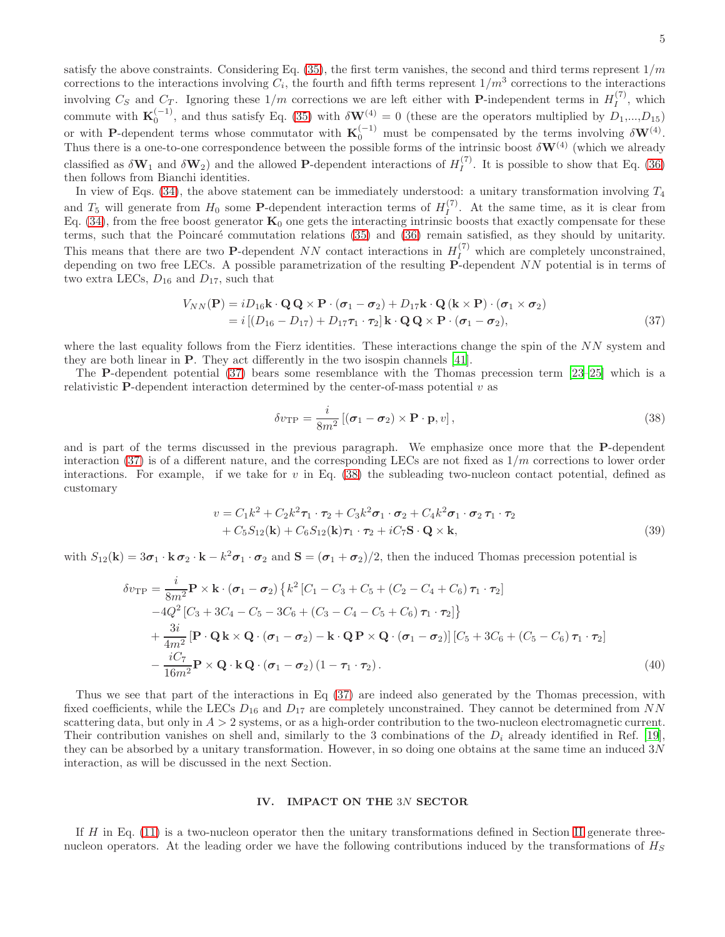satisfy the above constraints. Considering Eq.  $(35)$ , the first term vanishes, the second and third terms represent  $1/m$ corrections to the interactions involving  $C_i$ , the fourth and fifth terms represent  $1/m^3$  corrections to the interactions involving  $C_S$  and  $C_T$ . Ignoring these  $1/m$  corrections we are left either with **P**-independent terms in  $H_I^{(7)}$  $I'$ , which commute with  $\mathbf{K}_0^{(-1)}$ , and thus satisfy Eq. [\(35\)](#page-3-2) with  $\delta \mathbf{W}^{(4)} = 0$  (these are the operators multiplied by  $D_1,...,D_{15}$ ) or with P-dependent terms whose commutator with  $\mathbf{K}_0^{(-1)}$  must be compensated by the terms involving  $\delta \mathbf{W}^{(4)}$ . Thus there is a one-to-one correspondence between the possible forms of the intrinsic boost  $\delta W^{(4)}$  (which we already classified as  $\delta W_1$  and  $\delta W_2$ ) and the allowed **P**-dependent interactions of  $H_I^{(7)}$ . It is possible to show that Eq. [\(36\)](#page-3-3) then follows from Bianchi identities.

In view of Eqs.  $(34)$ , the above statement can be immediately understood: a unitary transformation involving  $T_4$ and  $T_5$  will generate from  $H_0$  some **P**-dependent interaction terms of  $H_I^{(7)}$  $I_I^{(1)}$ . At the same time, as it is clear from Eq. [\(34\)](#page-3-4), from the free boost generator  $\mathbf{K}_0$  one gets the interacting intrinsic boosts that exactly compensate for these terms, such that the Poincaré commutation relations [\(35\)](#page-3-2) and [\(36\)](#page-3-3) remain satisfied, as they should by unitarity. This means that there are two **P**-dependent NN contact interactions in  $H_I^{(7)}$  which are completely unconstrained, depending on two free LECs. A possible parametrization of the resulting P-dependent NN potential is in terms of two extra LECs,  $D_{16}$  and  $D_{17}$ , such that

$$
V_{NN}(\mathbf{P}) = iD_{16}\mathbf{k} \cdot \mathbf{Q} \mathbf{Q} \times \mathbf{P} \cdot (\boldsymbol{\sigma}_1 - \boldsymbol{\sigma}_2) + D_{17}\mathbf{k} \cdot \mathbf{Q} (\mathbf{k} \times \mathbf{P}) \cdot (\boldsymbol{\sigma}_1 \times \boldsymbol{\sigma}_2)
$$
  
=  $i [(D_{16} - D_{17}) + D_{17}\boldsymbol{\tau}_1 \cdot \boldsymbol{\tau}_2] \mathbf{k} \cdot \mathbf{Q} \mathbf{Q} \times \mathbf{P} \cdot (\boldsymbol{\sigma}_1 - \boldsymbol{\sigma}_2),$  (37)

where the last equality follows from the Fierz identities. These interactions change the spin of the NN system and they are both linear in P. They act differently in the two isospin channels [\[41\]](#page-8-19).

The P-dependent potential [\(37\)](#page-4-1) bears some resemblance with the Thomas precession term [\[23](#page-8-20)[–25](#page-8-21)] which is a relativistic **P**-dependent interaction determined by the center-of-mass potential  $v$  as

<span id="page-4-2"></span><span id="page-4-1"></span>
$$
\delta v_{\rm TP} = \frac{i}{8m^2} \left[ (\boldsymbol{\sigma}_1 - \boldsymbol{\sigma}_2) \times \mathbf{P} \cdot \mathbf{p}, v \right],\tag{38}
$$

and is part of the terms discussed in the previous paragraph. We emphasize once more that the P-dependent interaction [\(37\)](#page-4-1) is of a different nature, and the corresponding LECs are not fixed as  $1/m$  corrections to lower order interactions. For example, if we take for  $v$  in Eq. [\(38\)](#page-4-2) the subleading two-nucleon contact potential, defined as customary

$$
v = C_1 k^2 + C_2 k^2 \tau_1 \cdot \tau_2 + C_3 k^2 \sigma_1 \cdot \sigma_2 + C_4 k^2 \sigma_1 \cdot \sigma_2 \tau_1 \cdot \tau_2
$$
  
+ 
$$
C_5 S_{12}(\mathbf{k}) + C_6 S_{12}(\mathbf{k}) \tau_1 \cdot \tau_2 + i C_7 \mathbf{S} \cdot \mathbf{Q} \times \mathbf{k},
$$
 (39)

with  $S_{12}(\mathbf{k}) = 3\sigma_1 \cdot \mathbf{k} \sigma_2 \cdot \mathbf{k} - k^2 \sigma_1 \cdot \sigma_2$  and  $\mathbf{S} = (\sigma_1 + \sigma_2)/2$ , then the induced Thomas precession potential is

$$
\delta v_{\rm TP} = \frac{i}{8m^2} \mathbf{P} \times \mathbf{k} \cdot (\boldsymbol{\sigma}_1 - \boldsymbol{\sigma}_2) \left\{ k^2 \left[ C_1 - C_3 + C_5 + (C_2 - C_4 + C_6) \boldsymbol{\tau}_1 \cdot \boldsymbol{\tau}_2 \right] - 4Q^2 \left[ C_3 + 3C_4 - C_5 - 3C_6 + (C_3 - C_4 - C_5 + C_6) \boldsymbol{\tau}_1 \cdot \boldsymbol{\tau}_2 \right] \right\} + \frac{3i}{4m^2} \left[ \mathbf{P} \cdot \mathbf{Q} \mathbf{k} \times \mathbf{Q} \cdot (\boldsymbol{\sigma}_1 - \boldsymbol{\sigma}_2) - \mathbf{k} \cdot \mathbf{Q} \mathbf{P} \times \mathbf{Q} \cdot (\boldsymbol{\sigma}_1 - \boldsymbol{\sigma}_2) \right] \left[ C_5 + 3C_6 + (C_5 - C_6) \boldsymbol{\tau}_1 \cdot \boldsymbol{\tau}_2 \right] - \frac{iC_7}{16m^2} \mathbf{P} \times \mathbf{Q} \cdot \mathbf{k} \mathbf{Q} \cdot (\boldsymbol{\sigma}_1 - \boldsymbol{\sigma}_2) (1 - \boldsymbol{\tau}_1 \cdot \boldsymbol{\tau}_2).
$$
(40)

Thus we see that part of the interactions in Eq [\(37\)](#page-4-1) are indeed also generated by the Thomas precession, with fixed coefficients, while the LECs  $D_{16}$  and  $D_{17}$  are completely unconstrained. They cannot be determined from NN scattering data, but only in  $A > 2$  systems, or as a high-order contribution to the two-nucleon electromagnetic current. Their contribution vanishes on shell and, similarly to the 3 combinations of the  $D_i$  already identified in Ref. [\[19\]](#page-8-3), they can be absorbed by a unitary transformation. However, in so doing one obtains at the same time an induced 3N interaction, as will be discussed in the next Section.

### <span id="page-4-0"></span>IV. IMPACT ON THE 3N SECTOR

If  $H$  in Eq. [\(11\)](#page-1-1) is a two-nucleon operator then the unitary transformations defined in Section [II](#page-1-0) generate threenucleon operators. At the leading order we have the following contributions induced by the transformations of  $H<sub>S</sub>$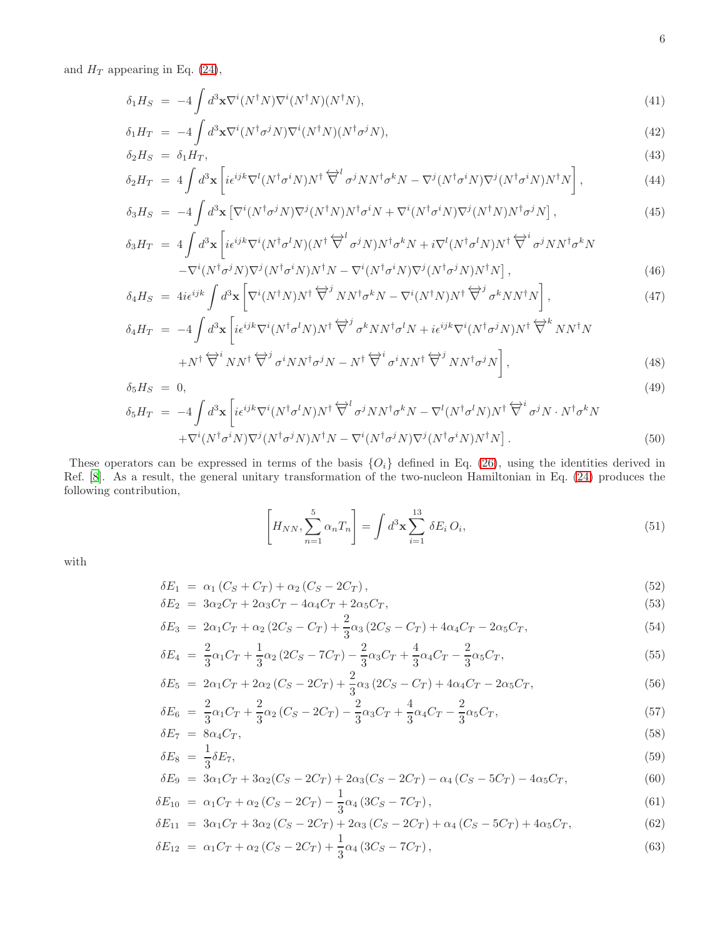and  $H_T$  appearing in Eq. [\(24\)](#page-2-4),

$$
\delta_1 H_S = -4 \int d^3 \mathbf{x} \nabla^i (N^\dagger N) \nabla^i (N^\dagger N) (N^\dagger N), \tag{41}
$$

$$
\delta_1 H_T = -4 \int d^3 \mathbf{x} \nabla^i (N^\dagger \sigma^j N) \nabla^i (N^\dagger N) (N^\dagger \sigma^j N), \tag{42}
$$

$$
\delta_2 H_S = \delta_1 H_T,
$$
\n
$$
\delta_2 H_T = 4 \int d^3 \mathbf{x} \left[ i \epsilon^{ijk} \nabla^l (N^\dagger \sigma^i N) N^\dagger \overleftrightarrow{\nabla}^l \sigma^j N N^\dagger \sigma^k N - \nabla^j (N^\dagger \sigma^i N) \nabla^j (N^\dagger \sigma^i N) N^\dagger N \right],
$$
\n(44)

$$
\delta_2 H_T = 4 \int d^3 \mathbf{x} \left[ i \epsilon^{ijk} \nabla^l (N^\dagger \sigma^i N) N^\dagger \overline{\nabla}^l \sigma^j N N^\dagger \sigma^k N - \nabla^j (N^\dagger \sigma^i N) \nabla^j (N^\dagger \sigma^i N) N^\dagger N \right],
$$
\n(44)  
\n
$$
\delta_3 H_S = -4 \int d^3 \mathbf{x} \left[ \nabla^i (N^\dagger \sigma^j N) \nabla^j (N^\dagger N) N^\dagger \sigma^i N + \nabla^i (N^\dagger \sigma^i N) \nabla^j (N^\dagger N) N^\dagger \sigma^j N \right],
$$

$$
\delta_3 H_T = 4 \int d^3 \mathbf{x} \left[ i \epsilon^{ijk} \nabla^i (N^\dagger \sigma^l N) (N^\dagger \overleftrightarrow{\nabla}^l \sigma^j N) N^\dagger \sigma^k N + i \nabla^l (N^\dagger \sigma^l N) N^\dagger \overleftrightarrow{\nabla}^i \sigma^j N N^\dagger \sigma^k N - \nabla^i (N^\dagger \sigma^j N) \nabla^j (N^\dagger \sigma^i N) \nabla^j (N^\dagger \sigma^j N) \nabla^j (N^\dagger \sigma^j N) N^\dagger N \right],
$$
\n(46)

$$
\delta_4 H_S = 4i\epsilon^{ijk} \int d^3 \mathbf{x} \left[ \nabla^i (N^\dagger N) N^\dagger \overleftrightarrow{\nabla}^j N N^\dagger \sigma^k N - \nabla^i (N^\dagger N) N^\dagger \overleftrightarrow{\nabla}^j \sigma^k N N^\dagger N \right],\tag{47}
$$

$$
\delta_4 H_T = -4 \int d^3 \mathbf{x} \left[ i \epsilon^{ijk} \nabla^i (N^\dagger \sigma^l N) N^\dagger \overleftrightarrow{\nabla}^j \sigma^k N N^\dagger \sigma^l N + i \epsilon^{ijk} \nabla^i (N^\dagger \sigma^j N) N^\dagger \overleftrightarrow{\nabla}^k N N^\dagger N \right. \\
\left. + N^\dagger \overleftrightarrow{\nabla}^i N N^\dagger \overleftrightarrow{\nabla}^j \sigma^i N N^\dagger \sigma^j N - N^\dagger \overleftrightarrow{\nabla}^i \sigma^i N N^\dagger \overleftrightarrow{\nabla}^j N N^\dagger \sigma^j N \right],
$$
\n(48)

$$
\delta_5 H_S = 0,\tag{49}
$$

$$
\delta_5 H_T = -4 \int d^3 \mathbf{x} \left[ i \epsilon^{ijk} \nabla^i (N^\dagger \sigma^l N) N^\dagger \overleftrightarrow{\nabla}^l \sigma^j N N^\dagger \sigma^k N - \nabla^l (N^\dagger \sigma^l N) N^\dagger \overleftrightarrow{\nabla}^i \sigma^j N \cdot N^\dagger \sigma^k N \right. \\
\left. + \nabla^i (N^\dagger \sigma^i N) \nabla^j (N^\dagger \sigma^j N) N^\dagger N - \nabla^i (N^\dagger \sigma^j N) \nabla^j (N^\dagger \sigma^i N) N^\dagger N \right].\n\tag{50}
$$

These operators can be expressed in terms of the basis  ${O_i}$  defined in Eq. [\(26\)](#page-3-5), using the identities derived in Ref. [\[8](#page-7-4)]. As a result, the general unitary transformation of the two-nucleon Hamiltonian in Eq. [\(24\)](#page-2-4) produces the following contribution,

$$
\left[H_{NN}, \sum_{n=1}^{5} \alpha_n T_n\right] = \int d^3 \mathbf{x} \sum_{i=1}^{13} \delta E_i O_i,
$$
\n(51)

with

<span id="page-5-0"></span>
$$
\delta E_1 = \alpha_1 (C_S + C_T) + \alpha_2 (C_S - 2C_T), \tag{52}
$$

$$
\delta E_2 = 3\alpha_2 C_T + 2\alpha_3 C_T - 4\alpha_4 C_T + 2\alpha_5 C_T, \tag{53}
$$

$$
\delta E_3 = 2\alpha_1 C_T + \alpha_2 (2C_S - C_T) + \frac{2}{3}\alpha_3 (2C_S - C_T) + 4\alpha_4 C_T - 2\alpha_5 C_T,
$$
\n(54)

$$
\delta E_4 = \frac{2}{3} \alpha_1 C_T + \frac{1}{3} \alpha_2 (2C_S - 7C_T) - \frac{2}{3} \alpha_3 C_T + \frac{4}{3} \alpha_4 C_T - \frac{2}{3} \alpha_5 C_T,
$$
\n(55)

$$
\delta E_5 = 2\alpha_1 C_T + 2\alpha_2 (C_S - 2C_T) + \frac{2}{3} \alpha_3 (2C_S - C_T) + 4\alpha_4 C_T - 2\alpha_5 C_T,
$$
\n(56)

$$
\delta E_6 = \frac{2}{3} \alpha_1 C_T + \frac{2}{3} \alpha_2 (C_S - 2C_T) - \frac{2}{3} \alpha_3 C_T + \frac{4}{3} \alpha_4 C_T - \frac{2}{3} \alpha_5 C_T,
$$
\n
$$
\delta E_7 = 8 \alpha_4 C_T,
$$
\n(58)

$$
\delta E_8 = \frac{1}{3} \delta E_7,\tag{59}
$$

$$
\delta E_9 = 3\alpha_1 C_T + 3\alpha_2 (C_S - 2C_T) + 2\alpha_3 (C_S - 2C_T) - \alpha_4 (C_S - 5C_T) - 4\alpha_5 C_T, \tag{60}
$$

$$
\delta E_{10} = \alpha_1 C_T + \alpha_2 (C_S - 2C_T) - \frac{1}{3} \alpha_4 (3C_S - 7C_T), \qquad (61)
$$

$$
\delta E_{11} = 3\alpha_1 C_T + 3\alpha_2 (C_S - 2C_T) + 2\alpha_3 (C_S - 2C_T) + \alpha_4 (C_S - 5C_T) + 4\alpha_5 C_T,
$$
\n(62)

$$
\delta E_{12} = \alpha_1 C_T + \alpha_2 (C_S - 2C_T) + \frac{1}{3} \alpha_4 (3C_S - 7C_T), \qquad (63)
$$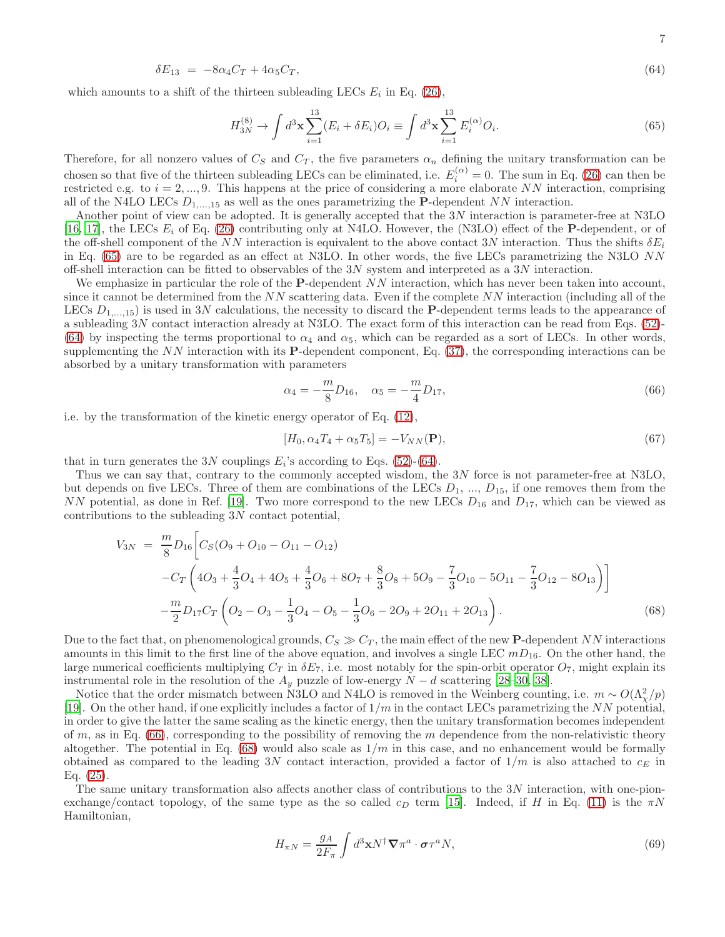$$
\delta E_{13} = -8\alpha_4 C_T + 4\alpha_5 C_T, \tag{64}
$$

which amounts to a shift of the thirteen subleading LECs  $E_i$  in Eq. [\(26\)](#page-3-5),

<span id="page-6-0"></span>
$$
H_{3N}^{(8)} \to \int d^3 \mathbf{x} \sum_{i=1}^{13} (E_i + \delta E_i) O_i \equiv \int d^3 \mathbf{x} \sum_{i=1}^{13} E_i^{(\alpha)} O_i.
$$
 (65)

Therefore, for all nonzero values of  $C_S$  and  $C_T$ , the five parameters  $\alpha_n$  defining the unitary transformation can be chosen so that five of the thirteen subleading LECs can be eliminated, i.e.  $E_i^{(\alpha)} = 0$ . The sum in Eq. [\(26\)](#page-3-5) can then be restricted e.g. to  $i = 2, ..., 9$ . This happens at the price of considering a more elaborate NN interaction, comprising all of the N4LO LECs  $D_{1,...,15}$  as well as the ones parametrizing the P-dependent NN interaction.

Another point of view can be adopted. It is generally accepted that the 3N interaction is parameter-free at N3LO [\[16,](#page-8-22) [17\]](#page-8-1), the LECs  $E_i$  of Eq. [\(26\)](#page-3-5) contributing only at N4LO. However, the (N3LO) effect of the P-dependent, or of the off-shell component of the NN interaction is equivalent to the above contact 3N interaction. Thus the shifts  $\delta E_i$ in Eq. [\(65\)](#page-6-0) are to be regarded as an effect at N3LO. In other words, the five LECs parametrizing the N3LO NN off-shell interaction can be fitted to observables of the 3N system and interpreted as a 3N interaction.

We emphasize in particular the role of the **P**-dependent  $NN$  interaction, which has never been taken into account, since it cannot be determined from the  $NN$  scattering data. Even if the complete  $NN$  interaction (including all of the LECs  $D_{1,...,15}$  is used in 3N calculations, the necessity to discard the **P**-dependent terms leads to the appearance of a subleading 3N contact interaction already at N3LO. The exact form of this interaction can be read from Eqs. [\(52\)](#page-5-0)- [\(64\)](#page-5-0) by inspecting the terms proportional to  $\alpha_4$  and  $\alpha_5$ , which can be regarded as a sort of LECs. In other words, supplementing the  $NN$  interaction with its P-dependent component, Eq.  $(37)$ , the corresponding interactions can be absorbed by a unitary transformation with parameters

<span id="page-6-1"></span>
$$
\alpha_4 = -\frac{m}{8}D_{16}, \quad \alpha_5 = -\frac{m}{4}D_{17},\tag{66}
$$

i.e. by the transformation of the kinetic energy operator of Eq. [\(12\)](#page-1-2),

$$
[H_0, \alpha_4 T_4 + \alpha_5 T_5] = -V_{NN}(\mathbf{P}),\tag{67}
$$

that in turn generates the 3N couplings  $E_i$ 's according to Eqs. [\(52\)](#page-5-0)-[\(64\)](#page-5-0).

Thus we can say that, contrary to the commonly accepted wisdom, the 3N force is not parameter-free at N3LO, but depends on five LECs. Three of them are combinations of the LECs  $D_1$ , ...,  $D_{15}$ , if one removes them from the NN potential, as done in Ref. [\[19\]](#page-8-3). Two more correspond to the new LECs  $D_{16}$  and  $D_{17}$ , which can be viewed as contributions to the subleading 3N contact potential,

<span id="page-6-2"></span>
$$
V_{3N} = \frac{m}{8} D_{16} \Big[ C_S (O_9 + O_{10} - O_{11} - O_{12})
$$
  
-
$$
C_T \Big( 4O_3 + \frac{4}{3} O_4 + 4O_5 + \frac{4}{3} O_6 + 8O_7 + \frac{8}{3} O_8 + 5O_9 - \frac{7}{3} O_{10} - 5O_{11} - \frac{7}{3} O_{12} - 8O_{13} \Big) \Big]
$$
  
-
$$
\frac{m}{2} D_{17} C_T \Big( O_2 - O_3 - \frac{1}{3} O_4 - O_5 - \frac{1}{3} O_6 - 2O_9 + 2O_{11} + 2O_{13} \Big).
$$
(68)

Due to the fact that, on phenomenological grounds,  $C_S \gg C_T$ , the main effect of the new **P**-dependent NN interactions amounts in this limit to the first line of the above equation, and involves a single LEC  $mD_{16}$ . On the other hand, the large numerical coefficients multiplying  $C_T$  in  $\delta E_7$ , i.e. most notably for the spin-orbit operator  $O_7$ , might explain its instrumental role in the resolution of the  $A_y$  puzzle of low-energy  $N - d$  scattering [\[28](#page-8-6)[–30,](#page-8-7) [38\]](#page-8-23).

Notice that the order mismatch between N3LO and N4LO is removed in the Weinberg counting, i.e.  $m \sim O(\Lambda_{\chi}^2/p)$ [\[19\]](#page-8-3). On the other hand, if one explicitly includes a factor of  $1/m$  in the contact LECs parametrizing the NN potential, in order to give the latter the same scaling as the kinetic energy, then the unitary transformation becomes independent of m, as in Eq.  $(66)$ , corresponding to the possibility of removing the m dependence from the non-relativistic theory altogether. The potential in Eq.  $(68)$  would also scale as  $1/m$  in this case, and no enhancement would be formally obtained as compared to the leading 3N contact interaction, provided a factor of  $1/m$  is also attached to  $c_E$  in Eq. [\(25\)](#page-2-5).

The same unitary transformation also affects another class of contributions to the 3N interaction, with one-pionexchange/contact topology, of the same type as the so called  $c_D$  term [\[15\]](#page-8-17). Indeed, if H in Eq. [\(11\)](#page-1-1) is the  $\pi N$ Hamiltonian,

$$
H_{\pi N} = \frac{g_A}{2F_{\pi}} \int d^3 \mathbf{x} N^{\dagger} \nabla \pi^a \cdot \boldsymbol{\sigma} \tau^a N,
$$
\n(69)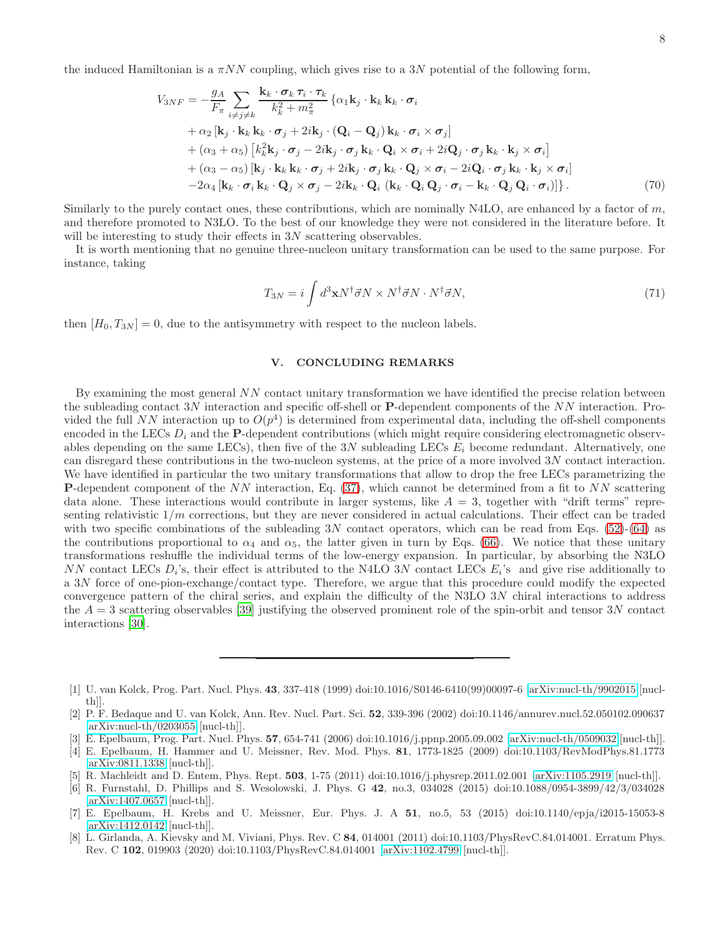the induced Hamiltonian is a  $\pi NN$  coupling, which gives rise to a 3N potential of the following form,

$$
V_{3NF} = -\frac{g_A}{F_{\pi}} \sum_{i \neq j \neq k} \frac{\mathbf{k}_k \cdot \boldsymbol{\sigma}_k \, \boldsymbol{\tau}_i \cdot \boldsymbol{\tau}_k}{k_k^2 + m_{\pi}^2} \left\{ \alpha_1 \mathbf{k}_j \cdot \mathbf{k}_k \, \mathbf{k}_k \cdot \boldsymbol{\sigma}_i \right.+ \alpha_2 \left[ \mathbf{k}_j \cdot \mathbf{k}_k \, \mathbf{k}_k \cdot \boldsymbol{\sigma}_j + 2i \mathbf{k}_j \cdot (\mathbf{Q}_i - \mathbf{Q}_j) \, \mathbf{k}_k \cdot \boldsymbol{\sigma}_i \times \boldsymbol{\sigma}_j \right.+ \left( \alpha_3 + \alpha_5 \right) \left[ k_k^2 \mathbf{k}_j \cdot \boldsymbol{\sigma}_j - 2i \mathbf{k}_j \cdot \boldsymbol{\sigma}_j \, \mathbf{k}_k \cdot \mathbf{Q}_i \times \boldsymbol{\sigma}_i + 2i \mathbf{Q}_j \cdot \boldsymbol{\sigma}_j \, \mathbf{k}_k \cdot \mathbf{k}_j \times \boldsymbol{\sigma}_i \right.+ \left( \alpha_3 - \alpha_5 \right) \left[ \mathbf{k}_j \cdot \mathbf{k}_k \, \mathbf{k}_k \cdot \boldsymbol{\sigma}_j + 2i \mathbf{k}_j \cdot \boldsymbol{\sigma}_j \, \mathbf{k}_k \cdot \mathbf{Q}_j \times \boldsymbol{\sigma}_i - 2i \mathbf{Q}_i \cdot \boldsymbol{\sigma}_j \, \mathbf{k}_k \cdot \mathbf{k}_j \times \boldsymbol{\sigma}_i \right.- 2\alpha_4 \left[ \mathbf{k}_k \cdot \boldsymbol{\sigma}_i \, \mathbf{k}_k \cdot \mathbf{Q}_j \times \boldsymbol{\sigma}_j - 2i \mathbf{k}_k \cdot \mathbf{Q}_i \left( \mathbf{k}_k \cdot \mathbf{Q}_i \, \mathbf{Q}_j \cdot \boldsymbol{\sigma}_i - \mathbf{k}_k \cdot \mathbf{Q}_j \mathbf{Q}_i \cdot \boldsymbol{\sigma}_i \right) \right]. \tag{70}
$$

Similarly to the purely contact ones, these contributions, which are nominally N4LO, are enhanced by a factor of  $m$ , and therefore promoted to N3LO. To the best of our knowledge they were not considered in the literature before. It will be interesting to study their effects in 3N scattering observables.

It is worth mentioning that no genuine three-nucleon unitary transformation can be used to the same purpose. For instance, taking

$$
T_{3N} = i \int d^3 \mathbf{x} N^\dagger \vec{\sigma} N \times N^\dagger \vec{\sigma} N \cdot N^\dagger \vec{\sigma} N, \tag{71}
$$

then  $[H_0, T_{3N}] = 0$ , due to the antisymmetry with respect to the nucleon labels.

# <span id="page-7-5"></span>V. CONCLUDING REMARKS

By examining the most general NN contact unitary transformation we have identified the precise relation between the subleading contact 3N interaction and specific off-shell or  $P$ -dependent components of the NN interaction. Provided the full NN interaction up to  $O(p^4)$  is determined from experimental data, including the off-shell components encoded in the LECs  $D_i$  and the **P**-dependent contributions (which might require considering electromagnetic observables depending on the same LECs), then five of the  $3N$  subleading LECs  $E_i$  become redundant. Alternatively, one can disregard these contributions in the two-nucleon systems, at the price of a more involved 3N contact interaction. We have identified in particular the two unitary transformations that allow to drop the free LECs parametrizing the **P**-dependent component of the  $NN$  interaction, Eq. [\(37\)](#page-4-1), which cannot be determined from a fit to  $NN$  scattering data alone. These interactions would contribute in larger systems, like  $A = 3$ , together with "drift terms" representing relativistic  $1/m$  corrections, but they are never considered in actual calculations. Their effect can be traded with two specific combinations of the subleading  $3N$  contact operators, which can be read from Eqs. [\(52\)](#page-5-0)-[\(64\)](#page-5-0) as the contributions proportional to  $\alpha_4$  and  $\alpha_5$ , the latter given in turn by Eqs. [\(66\)](#page-6-1). We notice that these unitary transformations reshuffle the individual terms of the low-energy expansion. In particular, by absorbing the N3LO NN contact LECs  $D_i$ 's, their effect is attributed to the N4LO 3N contact LECs  $E_i$ 's and give rise additionally to a 3N force of one-pion-exchange/contact type. Therefore, we argue that this procedure could modify the expected convergence pattern of the chiral series, and explain the difficulty of the N3LO 3N chiral interactions to address the  $A = 3$  scattering observables [\[39\]](#page-8-24) justifying the observed prominent role of the spin-orbit and tensor 3N contact interactions [\[30\]](#page-8-7).

- [3] E. Epelbaum, Prog. Part. Nucl. Phys. 57, 654-741 (2006) doi:10.1016/j.ppnp.2005.09.002 [\[arXiv:nucl-th/0509032](http://arxiv.org/abs/nucl-th/0509032) [nucl-th]].
- [4] E. Epelbaum, H. Hammer and U. Meissner, Rev. Mod. Phys. 81, 1773-1825 (2009) doi:10.1103/RevModPhys.81.1773 [\[arXiv:0811.1338](http://arxiv.org/abs/0811.1338) [nucl-th]].
- <span id="page-7-1"></span>[5] R. Machleidt and D. Entem, Phys. Rept. 503, 1-75 (2011) doi:10.1016/j.physrep.2011.02.001 [\[arXiv:1105.2919](http://arxiv.org/abs/1105.2919) [nucl-th]].
- <span id="page-7-2"></span>[6] R. Furnstahl, D. Phillips and S. Wesolowski, J. Phys. G 42, no.3, 034028 (2015) doi:10.1088/0954-3899/42/3/034028 [\[arXiv:1407.0657](http://arxiv.org/abs/1407.0657) [nucl-th]].
- <span id="page-7-3"></span>[7] E. Epelbaum, H. Krebs and U. Meissner, Eur. Phys. J. A 51, no.5, 53 (2015) doi:10.1140/epja/i2015-15053-8 [\[arXiv:1412.0142](http://arxiv.org/abs/1412.0142) [nucl-th]].
- <span id="page-7-4"></span>[8] L. Girlanda, A. Kievsky and M. Viviani, Phys. Rev. C 84, 014001 (2011) doi:10.1103/PhysRevC.84.014001. Erratum Phys. Rev. C 102, 019903 (2020) doi:10.1103/PhysRevC.84.014001 [\[arXiv:1102.4799](http://arxiv.org/abs/1102.4799) [nucl-th]].

<span id="page-7-0"></span><sup>[1]</sup> U. van Kolck, Prog. Part. Nucl. Phys. 43, 337-418 (1999) doi:10.1016/S0146-6410(99)00097-6 [\[arXiv:nucl-th/9902015](http://arxiv.org/abs/nucl-th/9902015) [nuclth]].

<sup>[2]</sup> P. F. Bedaque and U. van Kolck, Ann. Rev. Nucl. Part. Sci. 52, 339-396 (2002) doi:10.1146/annurev.nucl.52.050102.090637 [\[arXiv:nucl-th/0203055](http://arxiv.org/abs/nucl-th/0203055) [nucl-th]].